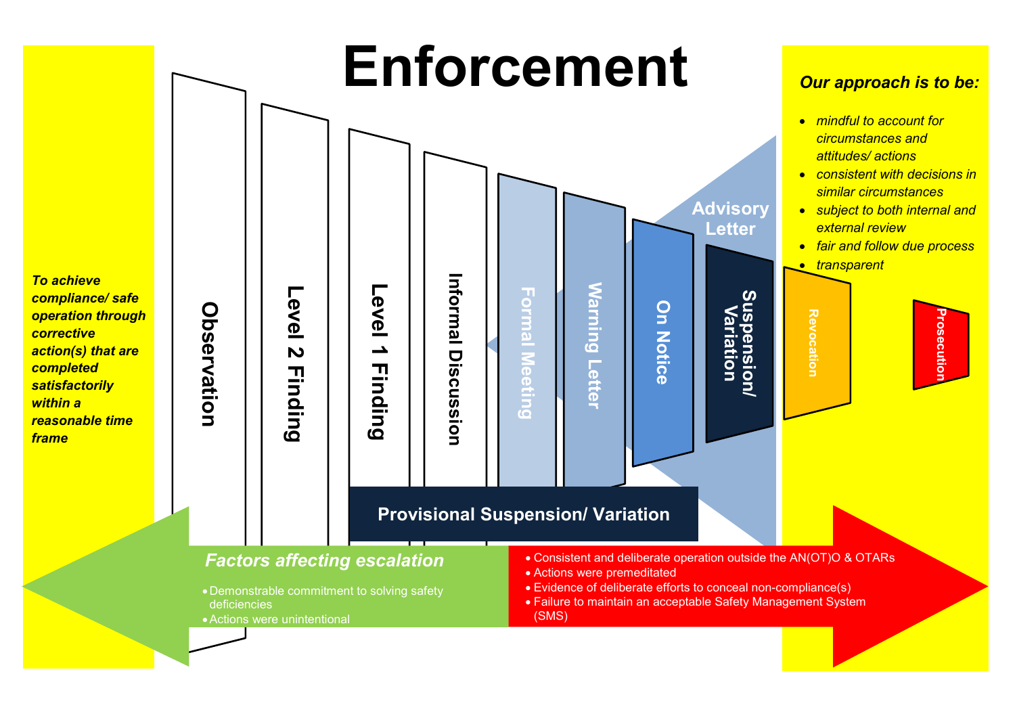